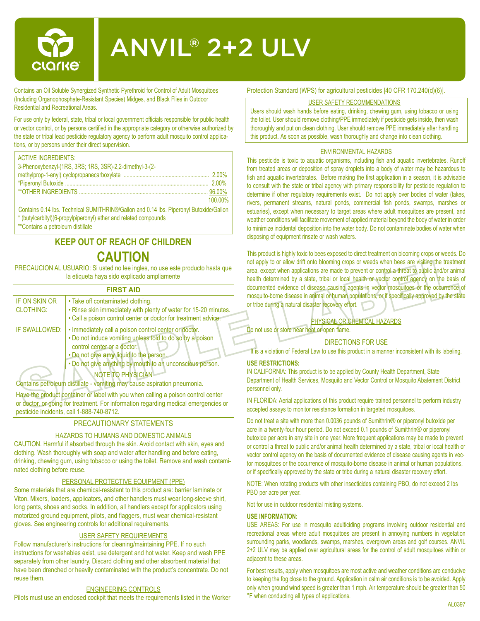

# ANVIL® 2+2 ULV

Contains an Oil Soluble Synergized Synthetic Pyrethroid for Control of Adult Mosquitoes (Including Organophosphate-Resistant Species) Midges, and Black Flies in Outdoor Residential and Recreational Areas.

For use only by federal, state, tribal or local government officials responsible for public health or vector control, or by persons certified in the appropriate category or otherwise authorized by the state or tribal lead pesticide regulatory agency to perform adult mosquito control applications, or by persons under their direct supervision.

#### ACTIVE INGREDIENTS:

| 3-Phenoxybenzyl-(1RS, 3RS; 1RS, 3SR)-2,2-dimethyl-3-(2- |         |
|---------------------------------------------------------|---------|
|                                                         |         |
|                                                         |         |
|                                                         |         |
|                                                         | 100.00% |

Contains 0.14 lbs. Technical SUMITHRIN®/Gallon and 0.14 lbs. Piperonyl Butoxide/Gallon \* (butylcarbityl)(6-propylpiperonyl) ether and related compounds

\*\*Contains a petroleum distillate

# **KEEP OUT OF REACH OF CHILDREN**

# **CAUTION**

PRECAUCION AL USUARIO: Si usted no lee ingles, no use este producto hasta que la etiqueta haya sido explicado ampliamente

| <b>FIRST AID</b>                         |                                                                                                                                                                                                                                                           |  |  |  |  |
|------------------------------------------|-----------------------------------------------------------------------------------------------------------------------------------------------------------------------------------------------------------------------------------------------------------|--|--|--|--|
| <b>IF ON SKIN OR</b><br><b>CLOTHING:</b> | • Take off contaminated clothing.<br>. Rinse skin immediately with plenty of water for 15-20 minutes.<br>. Call a poison control center or doctor for treatment advice.                                                                                   |  |  |  |  |
| IF SWALLOWED:                            | . Immediately call a poison control center or doctor.<br>. Do not induce vomiting unless told to do so by a poison<br>control center or a doctor.<br>. Do not give any liquid to the person.<br>. Do not give anything by mouth to an unconscious person. |  |  |  |  |
|                                          | <b>NOTE TO PHYSICIAN</b><br>Contains petroleum distillate - vomiting may cause aspiration pneumonia.                                                                                                                                                      |  |  |  |  |
|                                          | Have the product container or label with you when calling a peicon control center                                                                                                                                                                         |  |  |  |  |

Have the product container or label with you when calling a poison control center or doctor, or going for treatment. For information regarding medical emergencies or pesticide incidents, call 1-888-740-8712.

## PRECAUTIONARY STATEMENTS

## HAZARDS TO HUMANS AND DOMESTIC ANIMALS

CAUTION. Harmful if absorbed through the skin. Avoid contact with skin, eyes and clothing. Wash thoroughly with soap and water after handling and before eating, drinking, chewing gum, using tobacco or using the toilet. Remove and wash contaminated clothing before reuse.

#### PERSONAL PROTECTIVE EQUIPMENT (PPE)

Some materials that are chemical-resistant to this product are: barrier laminate or Viton. Mixers, loaders, applicators, and other handlers must wear long-sleeve shirt, long pants, shoes and socks. In addition, all handlers except for applicators using motorized ground equipment, pilots, and flaggers, must wear chemical-resistant gloves. See engineering controls for additional requirements.

#### USER SAFETY REQUIREMENTS

Follow manufacturer's instructions for cleaning/maintaining PPE. If no such instructions for washables exist, use detergent and hot water. Keep and wash PPE separately from other laundry. Discard clothing and other absorbent material that have been drenched or heavily contaminated with the product's concentrate. Do not reuse them.

#### ENGINEERING CONTROLS

Pilots must use an enclosed cockpit that meets the requirements listed in the Worker

Protection Standard (WPS) for agricultural pesticides [40 CFR 170.240(d)(6)].

#### USER SAFETY RECOMMENDATIONS

Users should wash hands before eating, drinking, chewing gum, using tobacco or using the toilet. User should remove clothing/PPE immediately if pesticide gets inside, then wash thoroughly and put on clean clothing. User should remove PPE immediately after handling this product. As soon as possible, wash thoroughly and change into clean clothing.

#### ENVIRONMENTAL HAZARDS

This pesticide is toxic to aquatic organisms, including fish and aquatic invertebrates. Runoff from treated areas or deposition of spray droplets into a body of water may be hazardous to fish and aquatic invertebrates. Before making the first application in a season, it is advisable to consult with the state or tribal agency with primary responsibility for pesticide regulation to determine if other regulatory requirements exist. Do not apply over bodies of water (lakes, rivers, permanent streams, natural ponds, commercial fish ponds, swamps, marshes or estuaries), except when necessary to target areas where adult mosquitoes are present, and weather conditions will facilitate movement of applied material beyond the body of water in order to minimize incidental deposition into the water body. Do not contaminate bodies of water when disposing of equipment rinsate or wash waters.

This product is highly toxic to bees exposed to direct treatment on blooming crops or weeds. Do not apply to or allow drift onto blooming crops or weeds when bees are visiting the treatment area, except when applications are made to prevent or control a threat to public and/or animal health determined by a state, tribal or local health or vector control agency on the basis of documented evidence of disease causing agents in vector mosquitoes or the occurrence of mosquito-borne disease in animal or human populations, or if specifically approved by the state or tribe during a natural disaster recovery effort.

## PHYSICAL OR CHEMICAL HAZARDS

Do not use or store near heat or open flame.

#### DIRECTIONS FOR USE

It is a violation of Federal Law to use this product in a manner inconsistent with its labeling.

#### **USE RESTRICTIONS:**

IN CALIFORNIA: This product is to be applied by County Health Department, State Department of Health Services, Mosquito and Vector Control or Mosquito Abatement District personnel only.

IN FLORIDA: Aerial applications of this product require trained personnel to perform industry accepted assays to monitor resistance formation in targeted mosquitoes.

Do not treat a site with more than 0.0036 pounds of Sumithrin® or piperonyl butoxide per acre in a twenty-four hour period. Do not exceed 0.1 pounds of Sumithrin® or piperonyl butoxide per acre in any site in one year. More frequent applications may be made to prevent or control a threat to public and/or animal health determined by a state, tribal or local health or vector control agency on the basis of documented evidence of disease causing agents in vector mosquitoes or the occurrence of mosquito-borne disease in animal or human populations, or if specifically approved by the state or tribe during a natural disaster recovery effort.

NOTE: When rotating products with other insecticides containing PBO, do not exceed 2 lbs PBO per acre per year.

Not for use in outdoor residential misting systems.

#### **USE INFORMATION:**

USE AREAS: For use in mosquito adulticiding programs involving outdoor residential and recreational areas where adult mosquitoes are present in annoying numbers in vegetation surrounding parks, woodlands, swamps, marshes, overgrown areas and golf courses. ANVIL 2+2 ULV may be applied over agricultural areas for the control of adult mosquitoes within or adjacent to these areas.

For best results, apply when mosquitoes are most active and weather conditions are conducive to keeping the fog close to the ground. Application in calm air conditions is to be avoided. Apply only when ground wind speed is greater than 1 mph. Air temperature should be greater than 50 °F when conducting all types of applications.